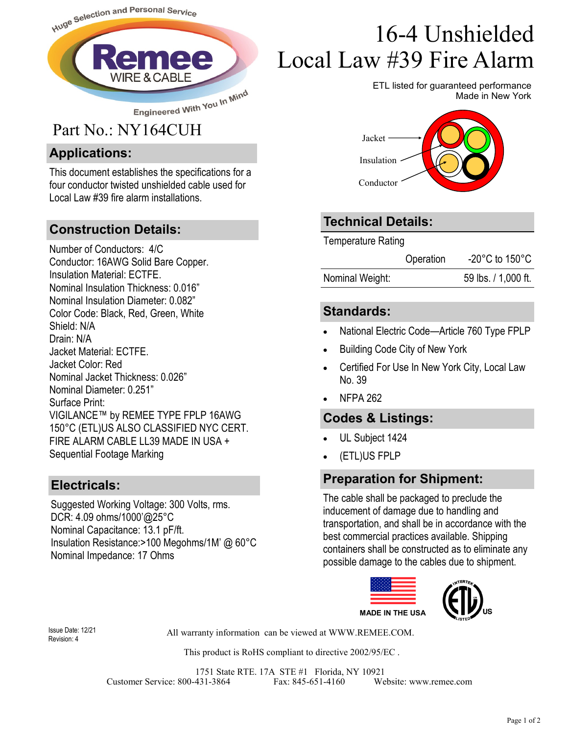

#### **Applications:**

This document establishes the specifications for a four conductor twisted unshielded cable used for Local Law #39 fire alarm installations.

#### **Construction Details:**

Number of Conductors: 4/C Conductor: 16AWG Solid Bare Copper. Insulation Material: ECTFE. Nominal Insulation Thickness: 0.016" Nominal Insulation Diameter: 0.082" Color Code: Black, Red, Green, White Shield: N/A Drain: N/A Jacket Material: ECTFE. Jacket Color: Red Nominal Jacket Thickness: 0.026" Nominal Diameter: 0.251" Surface Print: VIGILANCE™ by REMEE TYPE FPLP 16AWG 150°C (ETL)US ALSO CLASSIFIED NYC CERT. FIRE ALARM CABLE LL39 MADE IN USA + Sequential Footage Marking

#### **Electricals:**

Suggested Working Voltage: 300 Volts, rms. DCR: 4.09 ohms/1000'@25°C Nominal Capacitance: 13.1 pF/ft. Insulation Resistance:>100 Megohms/1M' @ 60°C Nominal Impedance: 17 Ohms

# 16-4 Unshielded Local Law #39 Fire Alarm

ETL listed for guaranteed performance Made in New York



### **Technical Details:**

Temperature Rating

Nominal Weight: 59 lbs. / 1,000 ft.

#### **Standards:**

- National Electric Code—Article 760 Type FPLP
- Building Code City of New York
- Certified For Use In New York City, Local Law No. 39
- NFPA 262

#### **Codes & Listings:**

- UL Subject 1424
- (ETL)US FPLP

#### **Preparation for Shipment:**

The cable shall be packaged to preclude the inducement of damage due to handling and transportation, and shall be in accordance with the best commercial practices available. Shipping containers shall be constructed as to eliminate any possible damage to the cables due to shipment.



Revision: 4

All warranty information can be viewed at WWW.REMEE.COM. Issue Date: 12/21

This product is RoHS compliant to directive 2002/95/EC .

1751 State RTE. 17A STE #1 Florida, NY 10921 Customer Service: 800-431-3864 Fax: 845-651-4160 Website: www.remee.com